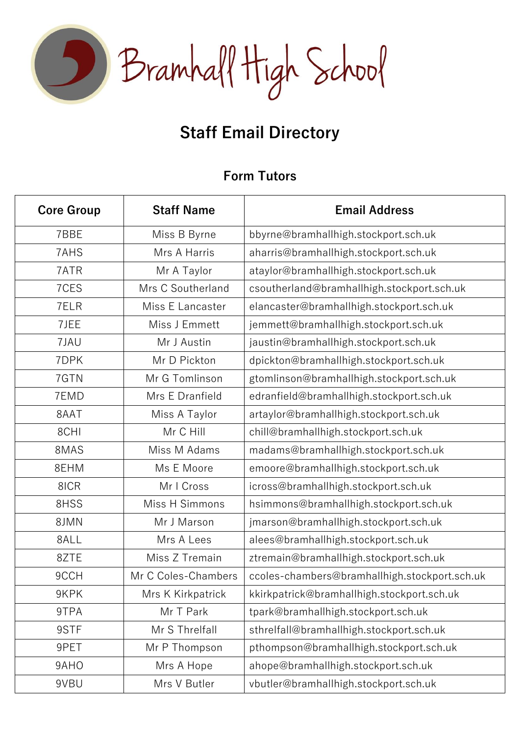

# **Staff Email Directory**

### **Form Tutors**

| <b>Core Group</b> | <b>Staff Name</b>   | <b>Email Address</b>                          |
|-------------------|---------------------|-----------------------------------------------|
| 7BBE              | Miss B Byrne        | bbyrne@bramhallhigh.stockport.sch.uk          |
| 7AHS              | Mrs A Harris        | aharris@bramhallhigh.stockport.sch.uk         |
| 7ATR              | Mr A Taylor         | ataylor@bramhallhigh.stockport.sch.uk         |
| 7CES              | Mrs C Southerland   | csoutherland@bramhallhigh.stockport.sch.uk    |
| 7ELR              | Miss E Lancaster    | elancaster@bramhallhigh.stockport.sch.uk      |
| 7JEE              | Miss J Emmett       | jemmett@bramhallhigh.stockport.sch.uk         |
| 7JAU              | Mr J Austin         | jaustin@bramhallhigh.stockport.sch.uk         |
| 7DPK              | Mr D Pickton        | dpickton@bramhallhigh.stockport.sch.uk        |
| 7GTN              | Mr G Tomlinson      | gtomlinson@bramhallhigh.stockport.sch.uk      |
| 7EMD              | Mrs E Dranfield     | edranfield@bramhallhigh.stockport.sch.uk      |
| 8AAT              | Miss A Taylor       | artaylor@bramhallhigh.stockport.sch.uk        |
| 8CHI              | Mr C Hill           | chill@bramhallhigh.stockport.sch.uk           |
| 8MAS              | Miss M Adams        | madams@bramhallhigh.stockport.sch.uk          |
| 8EHM              | Ms E Moore          | emoore@bramhallhigh.stockport.sch.uk          |
| 8ICR              | Mr I Cross          | icross@bramhallhigh.stockport.sch.uk          |
| 8HSS              | Miss H Simmons      | hsimmons@bramhallhigh.stockport.sch.uk        |
| 8JMN              | Mr J Marson         | jmarson@bramhallhigh.stockport.sch.uk         |
| 8ALL              | Mrs A Lees          | alees@bramhallhigh.stockport.sch.uk           |
| 8ZTE              | Miss Z Tremain      | ztremain@bramhallhigh.stockport.sch.uk        |
| 9CCH              | Mr C Coles-Chambers | ccoles-chambers@bramhallhigh.stockport.sch.uk |
| 9KPK              | Mrs K Kirkpatrick   | kkirkpatrick@bramhallhigh.stockport.sch.uk    |
| 9TPA              | Mr T Park           | tpark@bramhallhigh.stockport.sch.uk           |
| 9STF              | Mr S Threlfall      | sthrelfall@bramhallhigh.stockport.sch.uk      |
| 9PET              | Mr P Thompson       | pthompson@bramhallhigh.stockport.sch.uk       |
| 9AHO              | Mrs A Hope          | ahope@bramhallhigh.stockport.sch.uk           |
| 9VBU              | Mrs V Butler        | vbutler@bramhallhigh.stockport.sch.uk         |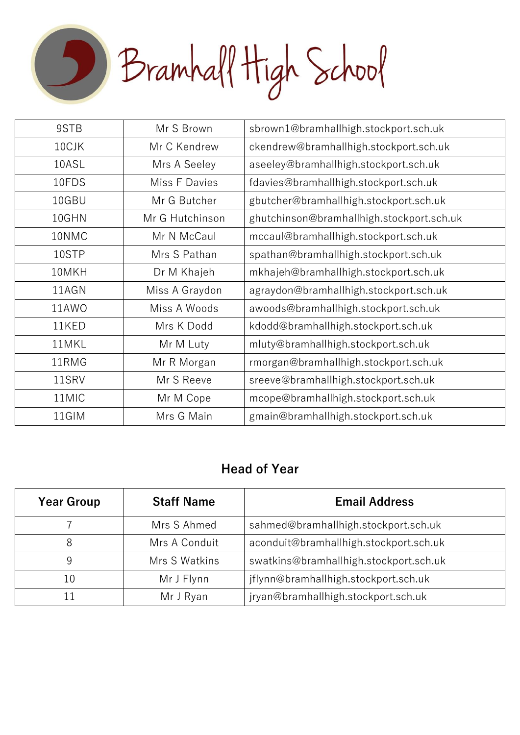Bramhall High School

| 9STB  | Mr S Brown      | sbrown1@bramhallhigh.stockport.sch.uk     |
|-------|-----------------|-------------------------------------------|
| 10CJK | Mr C Kendrew    | ckendrew@bramhallhigh.stockport.sch.uk    |
| 10ASL | Mrs A Seeley    | aseeley@bramhallhigh.stockport.sch.uk     |
| 10FDS | Miss F Davies   | fdavies@bramhallhigh.stockport.sch.uk     |
| 10GBU | Mr G Butcher    | gbutcher@bramhallhigh.stockport.sch.uk    |
| 10GHN | Mr G Hutchinson | ghutchinson@bramhallhigh.stockport.sch.uk |
| 10NMC | Mr N McCaul     | mccaul@bramhallhigh.stockport.sch.uk      |
| 10STP | Mrs S Pathan    | spathan@bramhallhigh.stockport.sch.uk     |
| 10MKH | Dr M Khajeh     | mkhajeh@bramhallhigh.stockport.sch.uk     |
| 11AGN | Miss A Graydon  | agraydon@bramhallhigh.stockport.sch.uk    |
| 11AWO | Miss A Woods    | awoods@bramhallhigh.stockport.sch.uk      |
| 11KED | Mrs K Dodd      | kdodd@bramhallhigh.stockport.sch.uk       |
| 11MKL | Mr M Luty       | mluty@bramhallhigh.stockport.sch.uk       |
| 11RMG | Mr R Morgan     | rmorgan@bramhallhigh.stockport.sch.uk     |
| 11SRV | Mr S Reeve      | sreeve@bramhallhigh.stockport.sch.uk      |
| 11MIC | Mr M Cope       | mcope@bramhallhigh.stockport.sch.uk       |
| 11GIM | Mrs G Main      | gmain@bramhallhigh.stockport.sch.uk       |
|       |                 |                                           |

#### **Head of Year**

| <b>Year Group</b> | <b>Staff Name</b> | <b>Email Address</b>                   |
|-------------------|-------------------|----------------------------------------|
|                   | Mrs S Ahmed       | sahmed@bramhallhigh.stockport.sch.uk   |
| 8                 | Mrs A Conduit     | aconduit@bramhallhigh.stockport.sch.uk |
|                   | Mrs S Watkins     | swatkins@bramhallhigh.stockport.sch.uk |
| 10                | Mr J Flynn        | jflynn@bramhallhigh.stockport.sch.uk   |
| 11                | Mr J Ryan         | jryan@bramhallhigh.stockport.sch.uk    |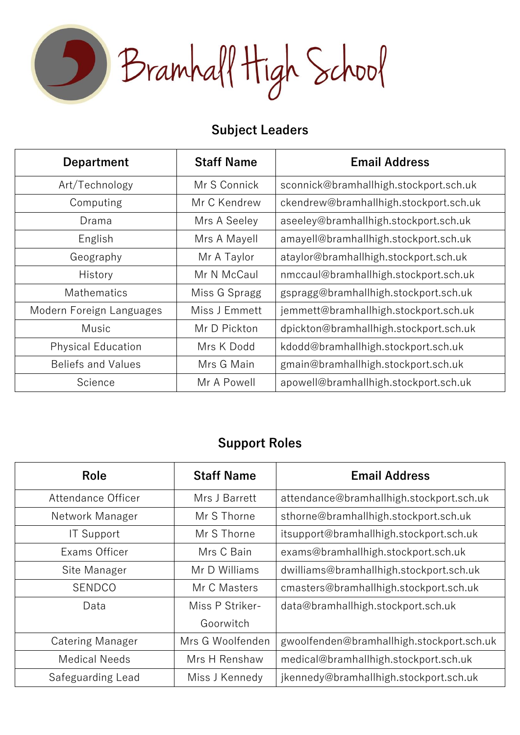Bramhall High School

## **Subject Leaders**

| <b>Department</b>         | <b>Staff Name</b> | <b>Email Address</b>                   |
|---------------------------|-------------------|----------------------------------------|
| Art/Technology            | Mr S Connick      | sconnick@bramhallhigh.stockport.sch.uk |
| Computing                 | Mr C Kendrew      | ckendrew@bramhallhigh.stockport.sch.uk |
| Drama                     | Mrs A Seeley      | aseeley@bramhallhigh.stockport.sch.uk  |
| English                   | Mrs A Mayell      | amayell@bramhallhigh.stockport.sch.uk  |
| Geography                 | Mr A Taylor       | ataylor@bramhallhigh.stockport.sch.uk  |
| History                   | Mr N McCaul       | nmccaul@bramhallhigh.stockport.sch.uk  |
| <b>Mathematics</b>        | Miss G Spragg     | gspragg@bramhallhigh.stockport.sch.uk  |
| Modern Foreign Languages  | Miss J Emmett     | jemmett@bramhallhigh.stockport.sch.uk  |
| Music                     | Mr D Pickton      | dpickton@bramhallhigh.stockport.sch.uk |
| <b>Physical Education</b> | Mrs K Dodd        | kdodd@bramhallhigh.stockport.sch.uk    |
| <b>Beliefs and Values</b> | Mrs G Main        | gmain@bramhallhigh.stockport.sch.uk    |
| Science                   | Mr A Powell       | apowell@bramhallhigh.stockport.sch.uk  |

## **Support Roles**

| <b>Role</b>             | <b>Staff Name</b> | <b>Email Address</b>                      |
|-------------------------|-------------------|-------------------------------------------|
| Attendance Officer      | Mrs J Barrett     | attendance@bramhallhigh.stockport.sch.uk  |
| Network Manager         | Mr S Thorne       | sthorne@bramhallhigh.stockport.sch.uk     |
| <b>IT Support</b>       | Mr S Thorne       | itsupport@bramhallhigh.stockport.sch.uk   |
| Exams Officer           | Mrs C Bain        | exams@bramhallhigh.stockport.sch.uk       |
| Site Manager            | Mr D Williams     | dwilliams@bramhallhigh.stockport.sch.uk   |
| <b>SENDCO</b>           | Mr C Masters      | cmasters@bramhallhigh.stockport.sch.uk    |
| Data                    | Miss P Striker-   | data@bramhallhigh.stockport.sch.uk        |
|                         | Goorwitch         |                                           |
| <b>Catering Manager</b> | Mrs G Woolfenden  | gwoolfenden@bramhallhigh.stockport.sch.uk |
| <b>Medical Needs</b>    | Mrs H Renshaw     | medical@bramhallhigh.stockport.sch.uk     |
| Safeguarding Lead       | Miss J Kennedy    | jkennedy@bramhallhigh.stockport.sch.uk    |